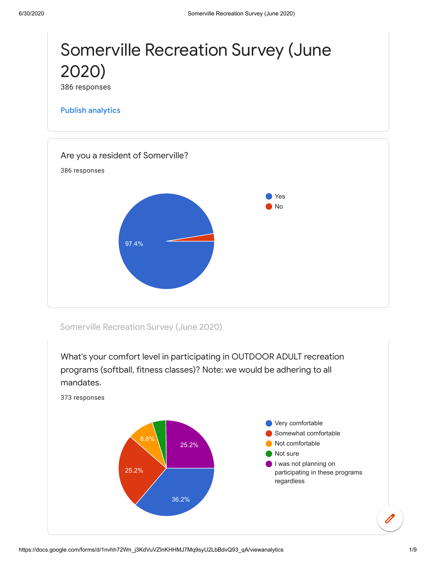

Somerville Recreation Survey (June 2020)



https://docs.google.com/forms/d/1nvhh72Wn\_j3KdVuVZlnKHHMJ7Mq9syU2LbBdvQ93\_qA/viewanalytics 1/9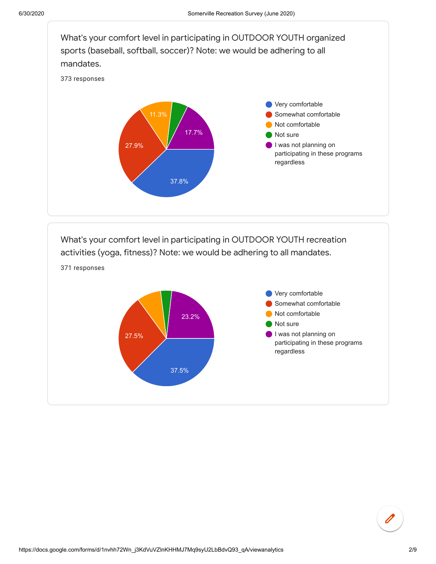

What's your comfort level in participating in OUTDOOR YOUTH recreation activities (yoga, fitness)? Note: we would be adhering to all mandates.



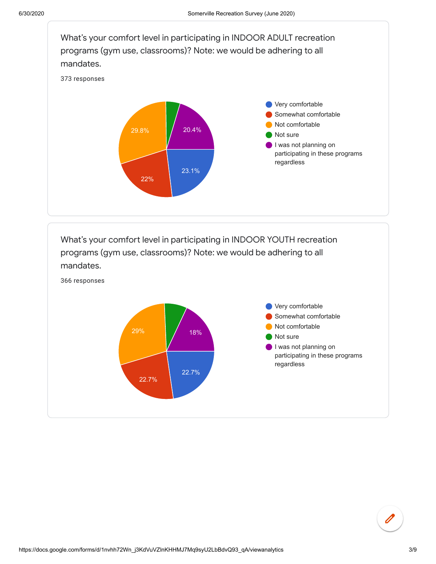



366 responses

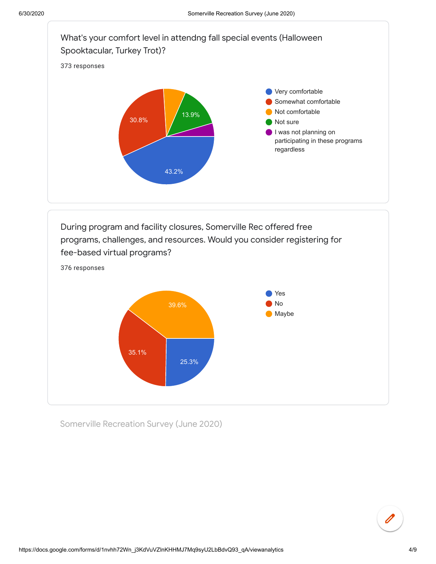



Somerville Recreation Survey (June 2020)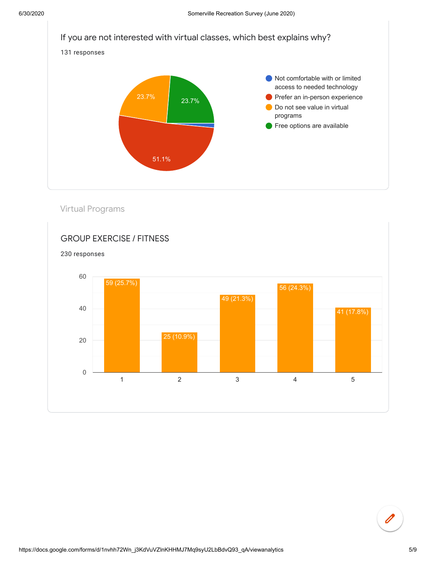

Virtual Programs

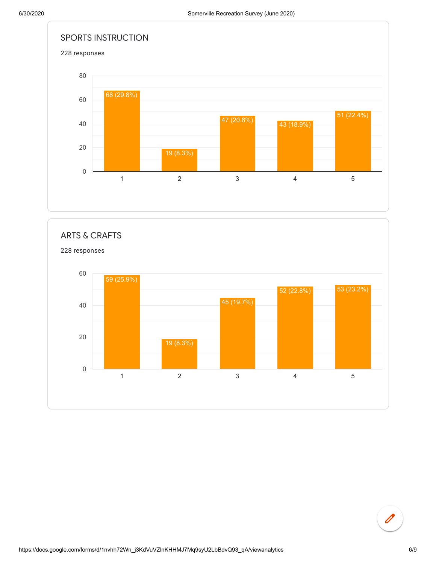

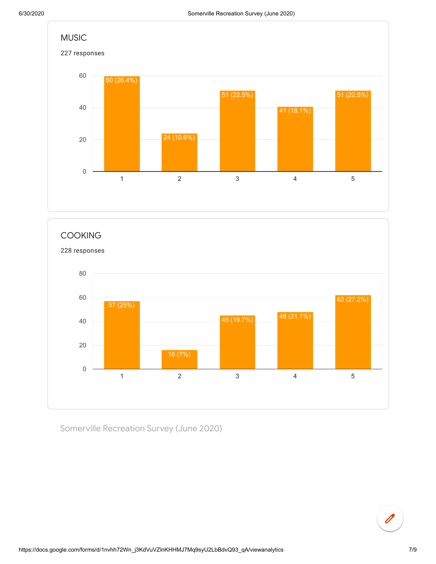



Somerville Recreation Survey (June 2020)